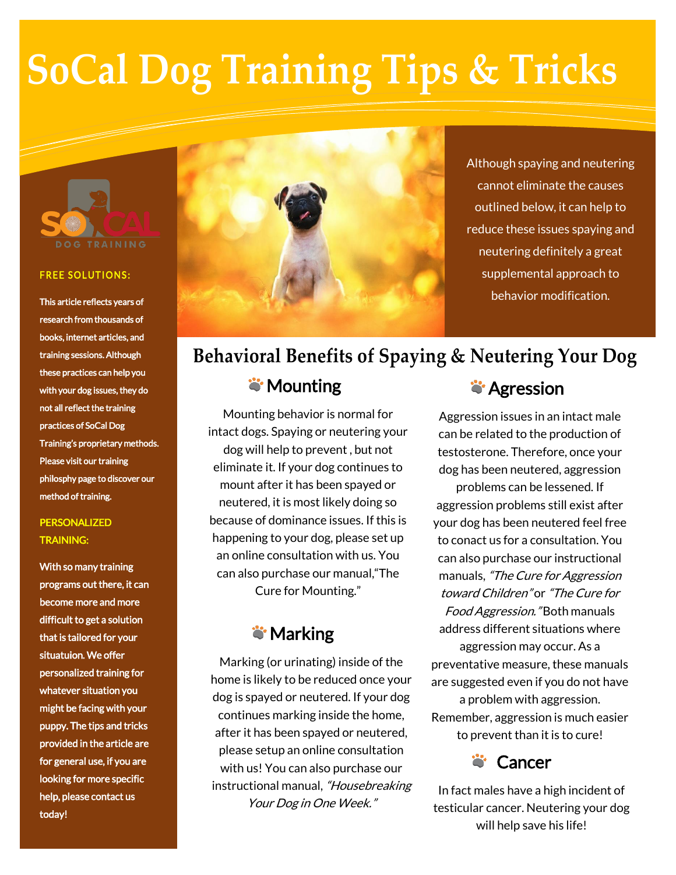# **SoCal Dog Training Tips & Tricks**



#### **FREE SOLUTIONS:**

This article reflects years of research from thousands of books, internet articles, and training sessions. Although these practices can help you with your dog issues, they do not all reflect the training practices of SoCal Dog Training's proprietary methods. Please visit our training philosphy page to discover our method of training.

#### PERSONALIZED TRAINING:

With so many training programs out there, it can become more and more difficult to get a solution that is tailored for your situatuion. We offer personalized training for whatever situation you might be facing with your puppy. The tips and tricks provided in the article are for general use, if you are looking for more specific help, please contact us today!



Although spaying and neutering cannot eliminate the causes outlined below, it can help to reduce these issues spaying and neutering definitely a great supplemental approach to behavior modification.

# **Behavioral Benefits of Spaying & Neutering Your Dog**

**Wounting** 

Mounting behavior is normal for intact dogs. Spaying or neutering your dog will help to prevent , but not eliminate it. If your dog continues to mount after it has been spayed or neutered, it is most likely doing so because of dominance issues. If this is happening to your dog, please set up an online consultation with us. You can also purchase our manual,"The Cure for Mounting."

## **S** Marking

Marking (or urinating) inside of the home is likely to be reduced once your dog is spayed or neutered. If your dog continues marking inside the home, after it has been spayed or neutered, please setup an online consultation with us! You can also purchase our instructional manual, "Housebreaking Your Dog in One Week."

## **a** Agression

Aggression issues in an intact male can be related to the production of testosterone. Therefore, once your dog has been neutered, aggression

problems can be lessened. If aggression problems still exist after your dog has been neutered feel free to conact us for a consultation. You can also purchase our instructional manuals, "The Cure for Aggression toward Children" or "The Cure for Food Aggression." Both manuals address different situations where aggression may occur. As a preventative measure, these manuals are suggested even if you do not have a problem with aggression. Remember, aggression is much easier

to prevent than it is to cure!

## **S** Cancer

In fact males have a high incident of testicular cancer. Neutering your dog will help save his life!